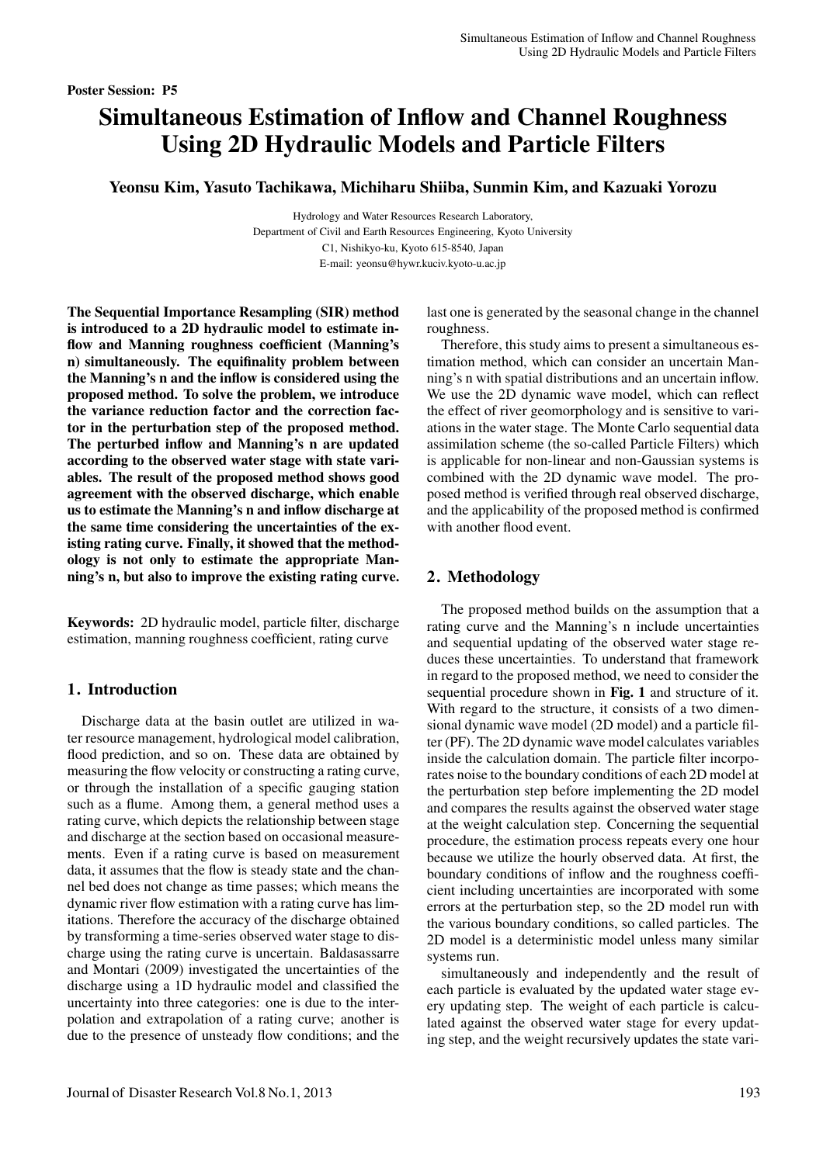#### Poster Session: P5

# Simultaneous Estimation of Inflow and Channel Roughness Using 2D Hydraulic Models and Particle Filters

Yeonsu Kim, Yasuto Tachikawa, Michiharu Shiiba, Sunmin Kim, and Kazuaki Yorozu

Hydrology and Water Resources Research Laboratory, Department of Civil and Earth Resources Engineering, Kyoto University C1, Nishikyo-ku, Kyoto 615-8540, Japan E-mail: yeonsu@hywr.kuciv.kyoto-u.ac.jp

The Sequential Importance Resampling (SIR) method is introduced to a 2D hydraulic model to estimate inflow and Manning roughness coefficient (Manning's n) simultaneously. The equifinality problem between the Manning's n and the inflow is considered using the proposed method. To solve the problem, we introduce the variance reduction factor and the correction factor in the perturbation step of the proposed method. The perturbed inflow and Manning's n are updated according to the observed water stage with state variables. The result of the proposed method shows good agreement with the observed discharge, which enable us to estimate the Manning's n and inflow discharge at the same time considering the uncertainties of the existing rating curve. Finally, it showed that the methodology is not only to estimate the appropriate Manning's n, but also to improve the existing rating curve.

Keywords: 2D hydraulic model, particle filter, discharge estimation, manning roughness coefficient, rating curve

# 1. Introduction

Discharge data at the basin outlet are utilized in water resource management, hydrological model calibration, flood prediction, and so on. These data are obtained by measuring the flow velocity or constructing a rating curve, or through the installation of a specific gauging station such as a flume. Among them, a general method uses a rating curve, which depicts the relationship between stage and discharge at the section based on occasional measurements. Even if a rating curve is based on measurement data, it assumes that the flow is steady state and the channel bed does not change as time passes; which means the dynamic river flow estimation with a rating curve has limitations. Therefore the accuracy of the discharge obtained by transforming a time-series observed water stage to discharge using the rating curve is uncertain. Baldasassarre and Montari (2009) investigated the uncertainties of the discharge using a 1D hydraulic model and classified the uncertainty into three categories: one is due to the interpolation and extrapolation of a rating curve; another is due to the presence of unsteady flow conditions; and the last one is generated by the seasonal change in the channel roughness.

Therefore, this study aims to present a simultaneous estimation method, which can consider an uncertain Manning's n with spatial distributions and an uncertain inflow. We use the 2D dynamic wave model, which can reflect the effect of river geomorphology and is sensitive to variations in the water stage. The Monte Carlo sequential data assimilation scheme (the so-called Particle Filters) which is applicable for non-linear and non-Gaussian systems is combined with the 2D dynamic wave model. The proposed method is verified through real observed discharge, and the applicability of the proposed method is confirmed with another flood event.

### 2. Methodology

The proposed method builds on the assumption that a rating curve and the Manning's n include uncertainties and sequential updating of the observed water stage reduces these uncertainties. To understand that framework in regard to the proposed method, we need to consider the sequential procedure shown in Fig. 1 and structure of it. With regard to the structure, it consists of a two dimensional dynamic wave model (2D model) and a particle filter (PF). The 2D dynamic wave model calculates variables inside the calculation domain. The particle filter incorporates noise to the boundary conditions of each 2D model at the perturbation step before implementing the 2D model and compares the results against the observed water stage at the weight calculation step. Concerning the sequential procedure, the estimation process repeats every one hour because we utilize the hourly observed data. At first, the boundary conditions of inflow and the roughness coefficient including uncertainties are incorporated with some errors at the perturbation step, so the 2D model run with the various boundary conditions, so called particles. The 2D model is a deterministic model unless many similar systems run.

simultaneously and independently and the result of each particle is evaluated by the updated water stage every updating step. The weight of each particle is calculated against the observed water stage for every updating step, and the weight recursively updates the state vari-